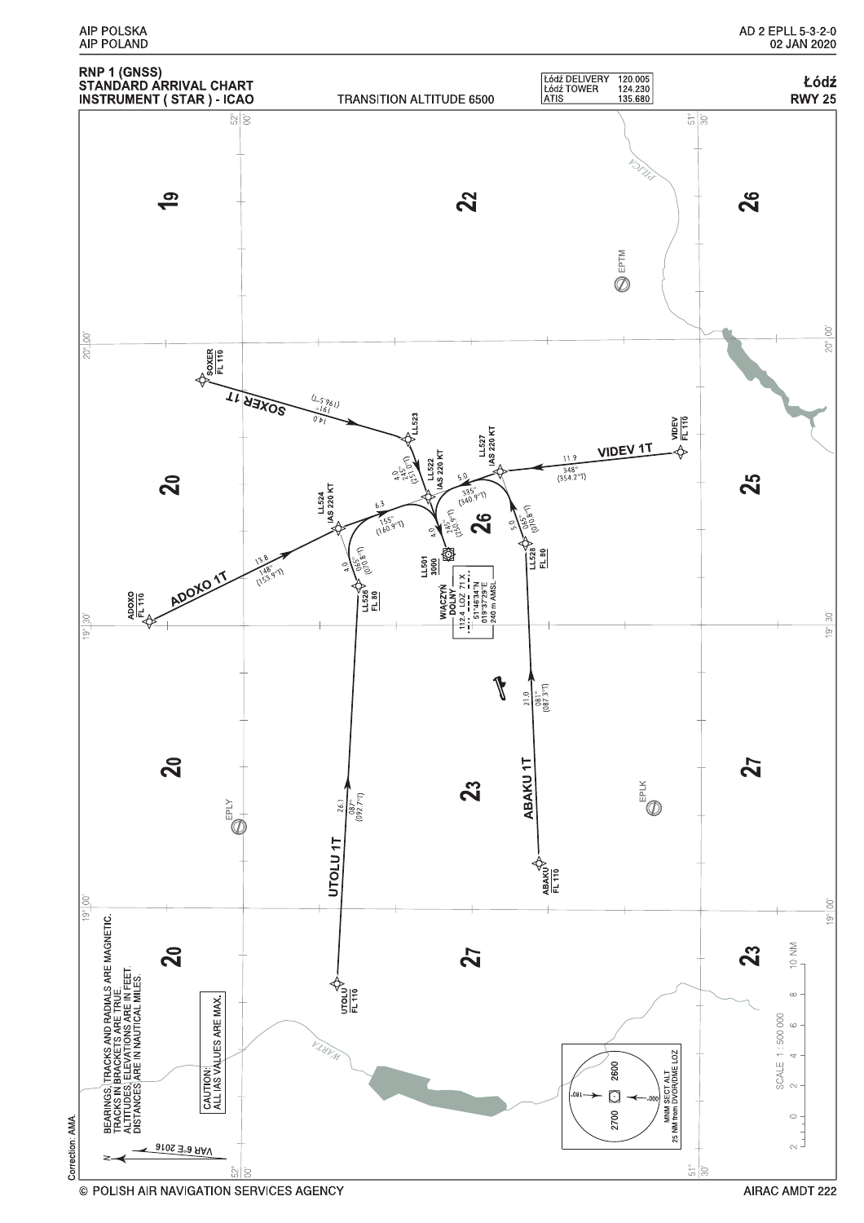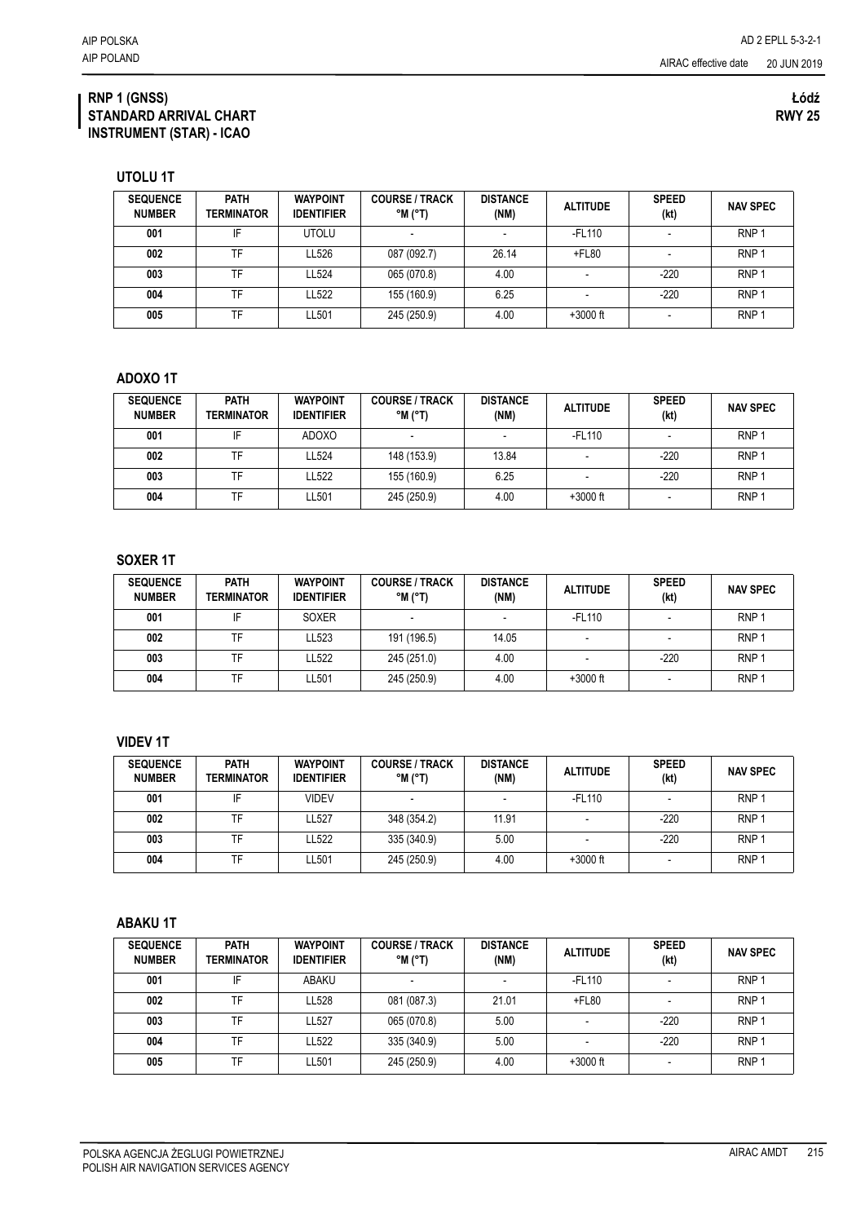AIRAC effective date

**UTOLU 1T**

| <b>SEQUENCE</b><br><b>NUMBER</b> | <b>PATH</b><br><b>TERMINATOR</b> | <b>WAYPOINT</b><br><b>IDENTIFIER</b> | <b>COURSE / TRACK</b><br>$^{\circ}$ M $^{\circ}$ T) | <b>DISTANCE</b><br>(NM) | <b>ALTITUDE</b> | <b>SPEED</b><br>(kt) | <b>NAV SPEC</b>  |
|----------------------------------|----------------------------------|--------------------------------------|-----------------------------------------------------|-------------------------|-----------------|----------------------|------------------|
| 001                              | IF                               | <b>UTOLU</b>                         |                                                     |                         | $-FL110$        |                      | RNP              |
| 002                              | TF                               | LL526                                | 087 (092.7)                                         | 26.14                   | $+$ FL80        |                      | RNP              |
| 003                              | TF                               | LL524                                | 065 (070.8)                                         | 4.00                    |                 | $-220$               | RNP              |
| 004                              | TF                               | LL522                                | 155 (160.9)                                         | 6.25                    |                 | $-220$               | RNP              |
| 005                              | TF                               | LL501                                | 245 (250.9)                                         | 4.00                    | $+3000$ ft      |                      | RNP <sup>3</sup> |

## **ADOXO 1T**

| <b>SEQUENCE</b><br><b>NUMBER</b> | <b>PATH</b><br>TERMINATOR | <b>WAYPOINT</b><br><b>IDENTIFIER</b> | <b>COURSE / TRACK</b><br>$^{\circ}$ M $^{\circ}$ T) | <b>DISTANCE</b><br>(NM) | <b>ALTITUDE</b> | <b>SPEED</b><br>(kt) | <b>NAV SPEC</b>  |
|----------------------------------|---------------------------|--------------------------------------|-----------------------------------------------------|-------------------------|-----------------|----------------------|------------------|
| 001                              | IF                        | <b>ADOXO</b>                         |                                                     |                         | -FL110          |                      | RNP              |
| 002                              | TF                        | LL524                                | 148 (153.9)                                         | 13.84                   |                 | $-220$               | RNP <sup>-</sup> |
| 003                              | TF                        | LL522                                | 155 (160.9)                                         | 6.25                    |                 | $-220$               | RNP <sub>1</sub> |
| 004                              | TF                        | LL501                                | 245 (250.9)                                         | 4.00                    | $+3000$ ft      |                      | <b>RNP</b>       |

## **SOXER 1T**

| <b>SEQUENCE</b><br><b>NUMBER</b> | <b>PATH</b><br><b>TERMINATOR</b> | <b>WAYPOINT</b><br><b>IDENTIFIER</b> | <b>COURSE / TRACK</b><br>$^{\circ}$ M ( $^{\circ}$ T) | <b>DISTANCE</b><br>(NM) | <b>ALTITUDE</b> | <b>SPEED</b><br>(kt) | <b>NAV SPEC</b>  |
|----------------------------------|----------------------------------|--------------------------------------|-------------------------------------------------------|-------------------------|-----------------|----------------------|------------------|
| 001                              | IF                               | <b>SOXER</b>                         |                                                       |                         | -FL110          |                      | RNP <sub>1</sub> |
| 002                              | TF                               | LL523                                | 191 (196.5)                                           | 14.05                   |                 |                      | RNP <sub>1</sub> |
| 003                              | TF                               | LL522                                | 245 (251.0)                                           | 4.00                    |                 | $-220$               | RNP <sub>1</sub> |
| 004                              | TF                               | LL501                                | 245 (250.9)                                           | 4.00                    | $+3000$ ft      |                      | RNP <sub>1</sub> |

## **VIDEV 1T**

| <b>SEQUENCE</b><br><b>NUMBER</b> | <b>PATH</b><br>TERMINATOR | <b>WAYPOINT</b><br><b>IDENTIFIER</b> | <b>COURSE / TRACK</b><br>$^{\circ}$ M ( $^{\circ}$ T) | <b>DISTANCE</b><br>(NM) | <b>ALTITUDE</b> | <b>SPEED</b><br>(kt) | <b>NAV SPEC</b>  |
|----------------------------------|---------------------------|--------------------------------------|-------------------------------------------------------|-------------------------|-----------------|----------------------|------------------|
| 001                              | IF                        | VIDEV                                |                                                       |                         | $-FL110$        |                      | RNP <sup>-</sup> |
| 002                              | TF                        | LL527                                | 348 (354.2)                                           | 11.91                   |                 | $-220$               | RNP              |
| 003                              | TF                        | LL522                                | 335 (340.9)                                           | 5.00                    |                 | -220                 | RNP'             |
| 004                              |                           | LL501                                | 245 (250.9)                                           | 4.00                    | $+3000$ ft      |                      | RNP <sup>3</sup> |

## **ABAKU 1T**

| <b>SEQUENCE</b><br><b>NUMBER</b> | <b>PATH</b><br>TERMINATOR | <b>WAYPOINT</b><br><b>IDENTIFIER</b> | <b>COURSE / TRACK</b><br>$^{\circ}$ M ( $^{\circ}$ T) | <b>DISTANCE</b><br>(NM) | <b>ALTITUDE</b> | <b>SPEED</b><br>(kt) | <b>NAV SPEC</b>  |
|----------------------------------|---------------------------|--------------------------------------|-------------------------------------------------------|-------------------------|-----------------|----------------------|------------------|
| 001                              | IF                        | ABAKU                                | -                                                     |                         | -FL110          |                      | RNP <sub>1</sub> |
| 002                              | TF                        | LL528                                | 081 (087.3)                                           | 21.01                   | $+$ FL80        |                      | RNP              |
| 003                              | TF                        | LL527                                | 065 (070.8)                                           | 5.00                    |                 | $-220$               | RNP <sub>1</sub> |
| 004                              | TF                        | LL522                                | 335 (340.9)                                           | 5.00                    |                 | -220                 | RNP <sub>1</sub> |
| 005                              | <b>TF</b>                 | LL501                                | 245 (250.9)                                           | 4.00                    | $+3000$ ft      |                      | RNP 1            |